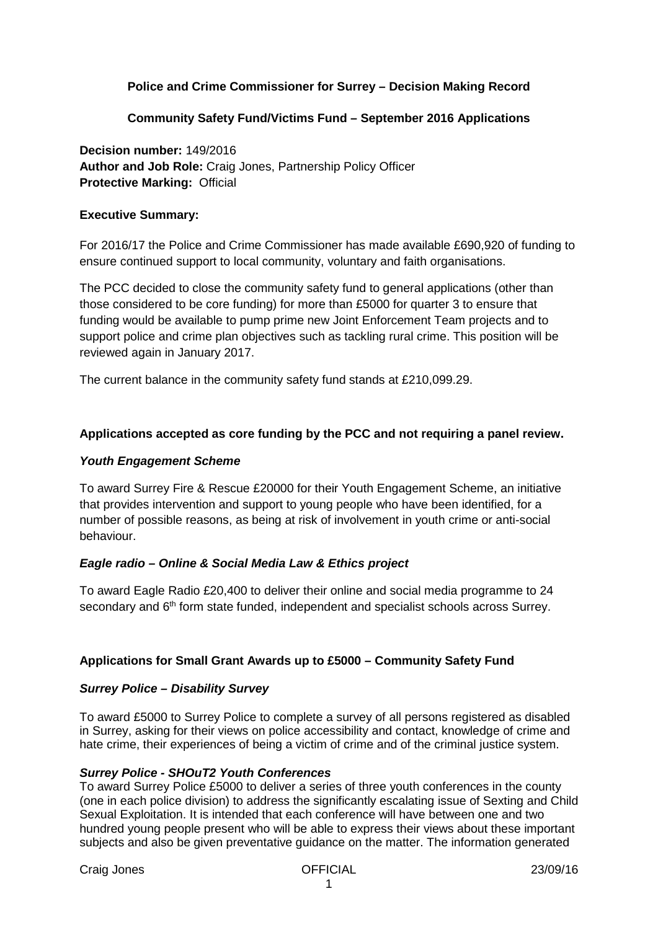# **Police and Crime Commissioner for Surrey – Decision Making Record**

# **Community Safety Fund/Victims Fund – September 2016 Applications**

**Decision number:** 149/2016 **Author and Job Role:** Craig Jones, Partnership Policy Officer **Protective Marking:** Official

#### **Executive Summary:**

For 2016/17 the Police and Crime Commissioner has made available £690,920 of funding to ensure continued support to local community, voluntary and faith organisations.

The PCC decided to close the community safety fund to general applications (other than those considered to be core funding) for more than £5000 for quarter 3 to ensure that funding would be available to pump prime new Joint Enforcement Team projects and to support police and crime plan objectives such as tackling rural crime. This position will be reviewed again in January 2017.

The current balance in the community safety fund stands at £210,099.29.

# **Applications accepted as core funding by the PCC and not requiring a panel review.**

#### *Youth Engagement Scheme*

To award Surrey Fire & Rescue £20000 for their Youth Engagement Scheme, an initiative that provides intervention and support to young people who have been identified, for a number of possible reasons, as being at risk of involvement in youth crime or anti-social behaviour.

#### *Eagle radio – Online & Social Media Law & Ethics project*

To award Eagle Radio £20,400 to deliver their online and social media programme to 24 secondary and 6<sup>th</sup> form state funded, independent and specialist schools across Surrey.

#### **Applications for Small Grant Awards up to £5000 – Community Safety Fund**

#### *Surrey Police – Disability Survey*

To award £5000 to Surrey Police to complete a survey of all persons registered as disabled in Surrey, asking for their views on police accessibility and contact, knowledge of crime and hate crime, their experiences of being a victim of crime and of the criminal justice system.

#### *Surrey Police - SHOuT2 Youth Conferences*

To award Surrey Police £5000 to deliver a series of three youth conferences in the county (one in each police division) to address the significantly escalating issue of Sexting and Child Sexual Exploitation. It is intended that each conference will have between one and two hundred young people present who will be able to express their views about these important subjects and also be given preventative guidance on the matter. The information generated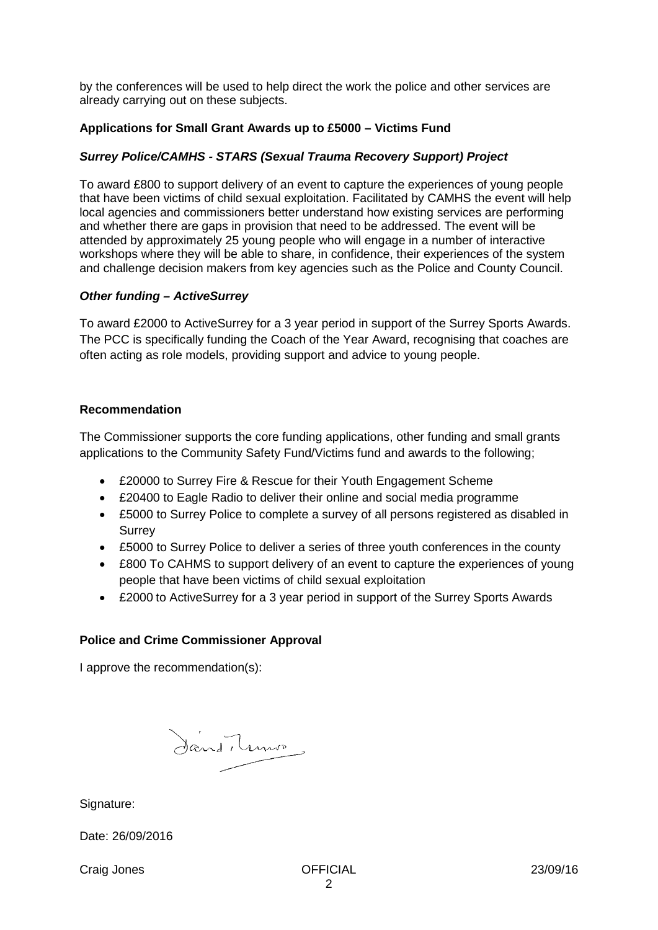by the conferences will be used to help direct the work the police and other services are already carrying out on these subjects.

### **Applications for Small Grant Awards up to £5000 – Victims Fund**

### *Surrey Police/CAMHS - STARS (Sexual Trauma Recovery Support) Project*

To award £800 to support delivery of an event to capture the experiences of young people that have been victims of child sexual exploitation. Facilitated by CAMHS the event will help local agencies and commissioners better understand how existing services are performing and whether there are gaps in provision that need to be addressed. The event will be attended by approximately 25 young people who will engage in a number of interactive workshops where they will be able to share, in confidence, their experiences of the system and challenge decision makers from key agencies such as the Police and County Council.

#### *Other funding – ActiveSurrey*

To award £2000 to ActiveSurrey for a 3 year period in support of the Surrey Sports Awards. The PCC is specifically funding the Coach of the Year Award, recognising that coaches are often acting as role models, providing support and advice to young people.

#### **Recommendation**

The Commissioner supports the core funding applications, other funding and small grants applications to the Community Safety Fund/Victims fund and awards to the following;

- £20000 to Surrey Fire & Rescue for their Youth Engagement Scheme
- £20400 to Eagle Radio to deliver their online and social media programme
- £5000 to Surrey Police to complete a survey of all persons registered as disabled in **Surrey**
- £5000 to Surrey Police to deliver a series of three youth conferences in the county
- £800 To CAHMS to support delivery of an event to capture the experiences of young people that have been victims of child sexual exploitation
- £2000 to ActiveSurrey for a 3 year period in support of the Surrey Sports Awards

#### **Police and Crime Commissioner Approval**

I approve the recommendation(s):

Sand, minis

Signature:

Date: 26/09/2016

Craig Jones OFFICIAL 23/09/16